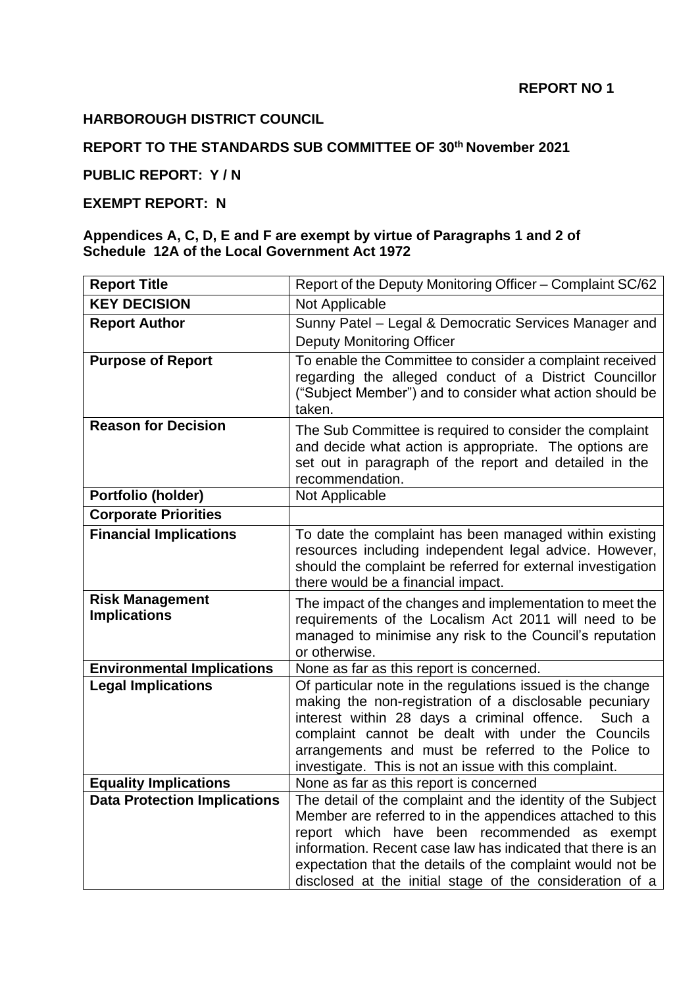### **HARBOROUGH DISTRICT COUNCIL**

## **REPORT TO THE STANDARDS SUB COMMITTEE OF 30th November 2021**

# **PUBLIC REPORT: Y / N**

### **EXEMPT REPORT: N**

#### **Appendices A, C, D, E and F are exempt by virtue of Paragraphs 1 and 2 of Schedule 12A of the Local Government Act 1972**

| <b>Report Title</b>                           | Report of the Deputy Monitoring Officer - Complaint SC/62                                                                                                                                                                                                                                                                                                         |
|-----------------------------------------------|-------------------------------------------------------------------------------------------------------------------------------------------------------------------------------------------------------------------------------------------------------------------------------------------------------------------------------------------------------------------|
| <b>KEY DECISION</b>                           | Not Applicable                                                                                                                                                                                                                                                                                                                                                    |
| <b>Report Author</b>                          | Sunny Patel - Legal & Democratic Services Manager and<br><b>Deputy Monitoring Officer</b>                                                                                                                                                                                                                                                                         |
| <b>Purpose of Report</b>                      | To enable the Committee to consider a complaint received<br>regarding the alleged conduct of a District Councillor<br>("Subject Member") and to consider what action should be<br>taken.                                                                                                                                                                          |
| <b>Reason for Decision</b>                    | The Sub Committee is required to consider the complaint<br>and decide what action is appropriate. The options are<br>set out in paragraph of the report and detailed in the<br>recommendation.                                                                                                                                                                    |
| Portfolio (holder)                            | Not Applicable                                                                                                                                                                                                                                                                                                                                                    |
| <b>Corporate Priorities</b>                   |                                                                                                                                                                                                                                                                                                                                                                   |
| <b>Financial Implications</b>                 | To date the complaint has been managed within existing<br>resources including independent legal advice. However,<br>should the complaint be referred for external investigation<br>there would be a financial impact.                                                                                                                                             |
| <b>Risk Management</b><br><b>Implications</b> | The impact of the changes and implementation to meet the<br>requirements of the Localism Act 2011 will need to be<br>managed to minimise any risk to the Council's reputation<br>or otherwise.                                                                                                                                                                    |
| <b>Environmental Implications</b>             | None as far as this report is concerned.                                                                                                                                                                                                                                                                                                                          |
| <b>Legal Implications</b>                     | Of particular note in the regulations issued is the change<br>making the non-registration of a disclosable pecuniary<br>interest within 28 days a criminal offence.<br>Such a<br>complaint cannot be dealt with under the Councils<br>arrangements and must be referred to the Police to<br>investigate. This is not an issue with this complaint.                |
| <b>Equality Implications</b>                  | None as far as this report is concerned                                                                                                                                                                                                                                                                                                                           |
| <b>Data Protection Implications</b>           | The detail of the complaint and the identity of the Subject<br>Member are referred to in the appendices attached to this<br>report which have been recommended as exempt<br>information. Recent case law has indicated that there is an<br>expectation that the details of the complaint would not be<br>disclosed at the initial stage of the consideration of a |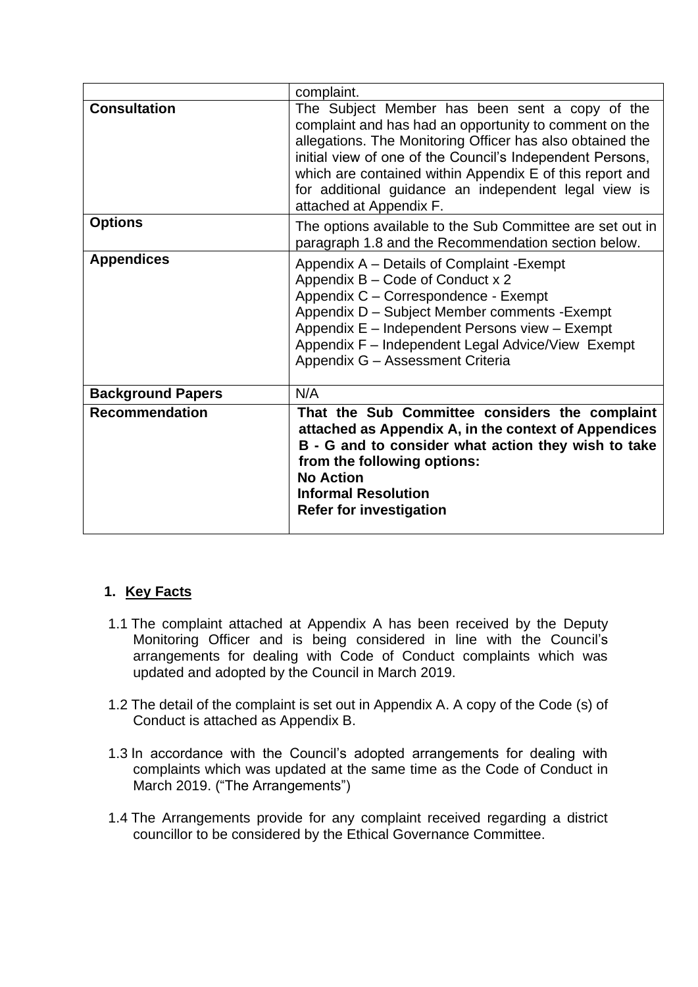|                          | complaint.                                                                                                                                                                                                                                                                                                                                                                        |
|--------------------------|-----------------------------------------------------------------------------------------------------------------------------------------------------------------------------------------------------------------------------------------------------------------------------------------------------------------------------------------------------------------------------------|
| <b>Consultation</b>      | The Subject Member has been sent a copy of the<br>complaint and has had an opportunity to comment on the<br>allegations. The Monitoring Officer has also obtained the<br>initial view of one of the Council's Independent Persons,<br>which are contained within Appendix E of this report and<br>for additional guidance an independent legal view is<br>attached at Appendix F. |
| <b>Options</b>           | The options available to the Sub Committee are set out in<br>paragraph 1.8 and the Recommendation section below.                                                                                                                                                                                                                                                                  |
| <b>Appendices</b>        | Appendix A – Details of Complaint - Exempt<br>Appendix B - Code of Conduct x 2<br>Appendix C - Correspondence - Exempt<br>Appendix D - Subject Member comments - Exempt<br>Appendix E - Independent Persons view - Exempt<br>Appendix F - Independent Legal Advice/View Exempt<br>Appendix G - Assessment Criteria                                                                |
| <b>Background Papers</b> | N/A                                                                                                                                                                                                                                                                                                                                                                               |
| <b>Recommendation</b>    | That the Sub Committee considers the complaint<br>attached as Appendix A, in the context of Appendices<br>B - G and to consider what action they wish to take<br>from the following options:<br><b>No Action</b><br><b>Informal Resolution</b><br><b>Refer for investigation</b>                                                                                                  |

# **1. Key Facts**

- 1.1 The complaint attached at Appendix A has been received by the Deputy Monitoring Officer and is being considered in line with the Council's arrangements for dealing with Code of Conduct complaints which was updated and adopted by the Council in March 2019.
- 1.2 The detail of the complaint is set out in Appendix A. A copy of the Code (s) of Conduct is attached as Appendix B.
- 1.3 In accordance with the Council's adopted arrangements for dealing with complaints which was updated at the same time as the Code of Conduct in March 2019. ("The Arrangements")
- 1.4 The Arrangements provide for any complaint received regarding a district councillor to be considered by the Ethical Governance Committee.